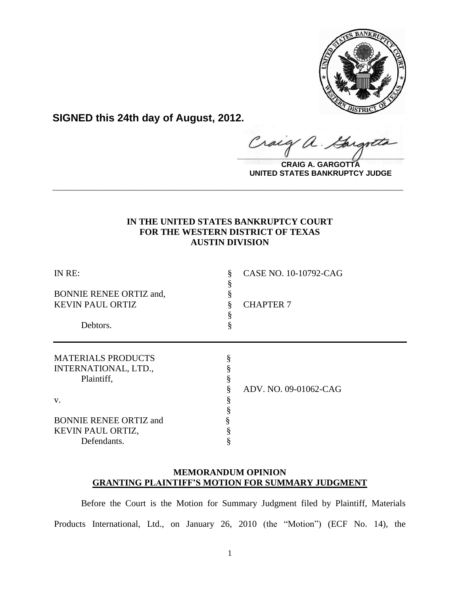

**SIGNED this 24th day of August, 2012.**

raig  $\hat{\alpha}$ .  $\frac{1}{2}$ 

**CRAIG A. GARGOTTA UNITED STATES BANKRUPTCY JUDGE**

# **IN THE UNITED STATES BANKRUPTCY COURT FOR THE WESTERN DISTRICT OF TEXAS AUSTIN DIVISION**

**\_\_\_\_\_\_\_\_\_\_\_\_\_\_\_\_\_\_\_\_\_\_\_\_\_\_\_\_\_\_\_\_\_\_\_\_\_\_\_\_\_\_\_\_\_\_\_\_\_\_\_\_\_\_\_\_\_\_\_\_**

| IN RE:<br><b>BONNIE RENEE ORTIZ and,</b><br><b>KEVIN PAUL ORTIZ</b><br>Debtors. | CASE NO. 10-10792-CAG<br><b>CHAPTER 7</b><br>ş |
|---------------------------------------------------------------------------------|------------------------------------------------|
|                                                                                 |                                                |
| <b>MATERIALS PRODUCTS</b>                                                       | §                                              |
| INTERNATIONAL, LTD.,                                                            |                                                |
| Plaintiff,                                                                      |                                                |
|                                                                                 | ADV. NO. 09-01062-CAG                          |
| V.                                                                              |                                                |
|                                                                                 |                                                |
| <b>BONNIE RENEE ORTIZ and</b>                                                   |                                                |
| KEVIN PAUL ORTIZ,                                                               |                                                |
| Defendants.                                                                     |                                                |

## **MEMORANDUM OPINION GRANTING PLAINTIFF'S MOTION FOR SUMMARY JUDGMENT**

Before the Court is the Motion for Summary Judgment filed by Plaintiff, Materials Products International, Ltd., on January 26, 2010 (the "Motion") (ECF No. 14), the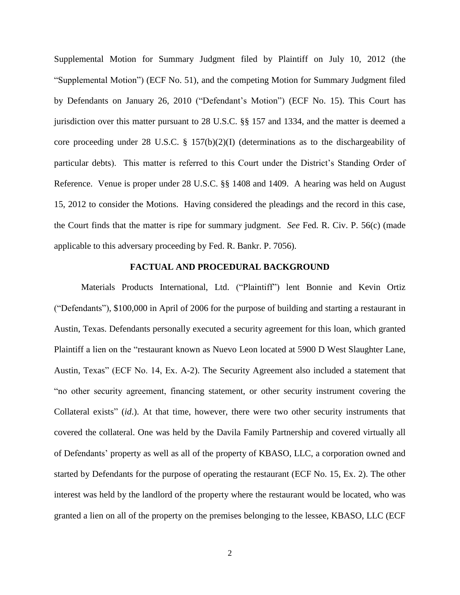Supplemental Motion for Summary Judgment filed by Plaintiff on July 10, 2012 (the "Supplemental Motion") (ECF No. 51), and the competing Motion for Summary Judgment filed by Defendants on January 26, 2010 ("Defendant's Motion") (ECF No. 15). This Court has jurisdiction over this matter pursuant to 28 U.S.C. §§ 157 and 1334, and the matter is deemed a core proceeding under 28 U.S.C. § 157(b)(2)(I) (determinations as to the dischargeability of particular debts). This matter is referred to this Court under the District's Standing Order of Reference. Venue is proper under 28 U.S.C. §§ 1408 and 1409.A hearing was held on August 15, 2012 to consider the Motions. Having considered the pleadings and the record in this case, the Court finds that the matter is ripe for summary judgment. *See* Fed. R. Civ. P. 56(c) (made applicable to this adversary proceeding by Fed. R. Bankr. P. 7056).

## **FACTUAL AND PROCEDURAL BACKGROUND**

Materials Products International, Ltd. ("Plaintiff") lent Bonnie and Kevin Ortiz ("Defendants"), \$100,000 in April of 2006 for the purpose of building and starting a restaurant in Austin, Texas. Defendants personally executed a security agreement for this loan, which granted Plaintiff a lien on the "restaurant known as Nuevo Leon located at 5900 D West Slaughter Lane, Austin, Texas" (ECF No. 14, Ex. A-2). The Security Agreement also included a statement that "no other security agreement, financing statement, or other security instrument covering the Collateral exists" (*id*.). At that time, however, there were two other security instruments that covered the collateral. One was held by the Davila Family Partnership and covered virtually all of Defendants' property as well as all of the property of KBASO, LLC, a corporation owned and started by Defendants for the purpose of operating the restaurant (ECF No. 15, Ex. 2). The other interest was held by the landlord of the property where the restaurant would be located, who was granted a lien on all of the property on the premises belonging to the lessee, KBASO, LLC (ECF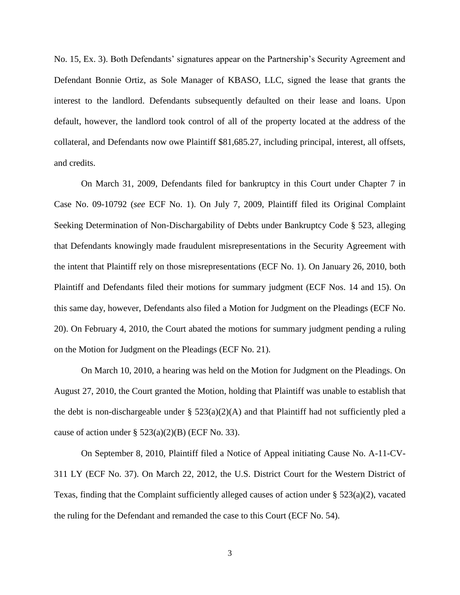No. 15, Ex. 3). Both Defendants' signatures appear on the Partnership's Security Agreement and Defendant Bonnie Ortiz, as Sole Manager of KBASO, LLC, signed the lease that grants the interest to the landlord. Defendants subsequently defaulted on their lease and loans. Upon default, however, the landlord took control of all of the property located at the address of the collateral, and Defendants now owe Plaintiff \$81,685.27, including principal, interest, all offsets, and credits.

On March 31, 2009, Defendants filed for bankruptcy in this Court under Chapter 7 in Case No. [09-10792](https://ecf.txwb.circ5.dcn/cgi-bin/DktRpt.pl?233396) (*see* ECF No. 1). On July 7, 2009, Plaintiff filed its Original Complaint Seeking Determination of Non-Dischargability of Debts under Bankruptcy Code § 523, alleging that Defendants knowingly made fraudulent misrepresentations in the Security Agreement with the intent that Plaintiff rely on those misrepresentations (ECF No. 1). On January 26, 2010, both Plaintiff and Defendants filed their motions for summary judgment (ECF Nos. 14 and 15). On this same day, however, Defendants also filed a Motion for Judgment on the Pleadings (ECF No. 20). On February 4, 2010, the Court abated the motions for summary judgment pending a ruling on the Motion for Judgment on the Pleadings (ECF No. 21).

On March 10, 2010, a hearing was held on the Motion for Judgment on the Pleadings. On August 27, 2010, the Court granted the Motion, holding that Plaintiff was unable to establish that the debt is non-dischargeable under  $\S$  523(a)(2)(A) and that Plaintiff had not sufficiently pled a cause of action under  $\S$  523(a)(2)(B) (ECF No. 33).

On September 8, 2010, Plaintiff filed a Notice of Appeal initiating Cause No. A-11-CV-311 LY (ECF No. 37). On March 22, 2012, the U.S. District Court for the Western District of Texas, finding that the Complaint sufficiently alleged causes of action under  $\S 523(a)(2)$ , vacated the ruling for the Defendant and remanded the case to this Court (ECF No. 54).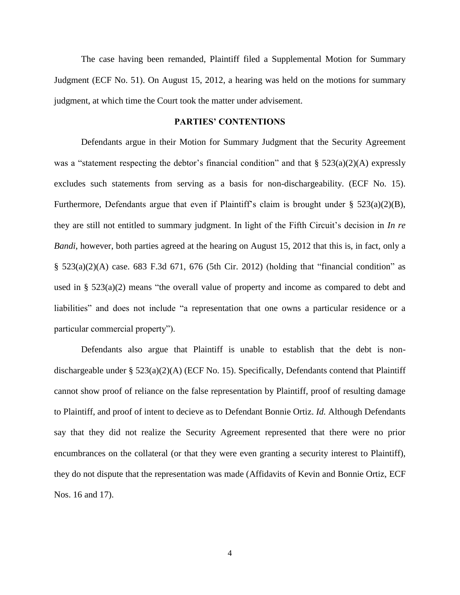The case having been remanded, Plaintiff filed a Supplemental Motion for Summary Judgment (ECF No. 51). On August 15, 2012, a hearing was held on the motions for summary judgment, at which time the Court took the matter under advisement.

#### **PARTIES' CONTENTIONS**

Defendants argue in their Motion for Summary Judgment that the Security Agreement was a "statement respecting the debtor's financial condition" and that  $\S$  523(a)(2)(A) expressly excludes such statements from serving as a basis for non-dischargeability. (ECF No. 15). Furthermore, Defendants argue that even if Plaintiff's claim is brought under  $\S$  523(a)(2)(B), they are still not entitled to summary judgment. In light of the Fifth Circuit's decision in *In re Bandi*, however, both parties agreed at the hearing on August 15, 2012 that this is, in fact, only a  $\S$  523(a)(2)(A) case. 683 F.3d 671, 676 (5th Cir. 2012) (holding that "financial condition" as used in  $\S$  523(a)(2) means "the overall value of property and income as compared to debt and liabilities" and does not include "a representation that one owns a particular residence or a particular commercial property").

Defendants also argue that Plaintiff is unable to establish that the debt is nondischargeable under § 523(a)(2)(A) (ECF No. 15). Specifically, Defendants contend that Plaintiff cannot show proof of reliance on the false representation by Plaintiff, proof of resulting damage to Plaintiff, and proof of intent to decieve as to Defendant Bonnie Ortiz. *Id.* Although Defendants say that they did not realize the Security Agreement represented that there were no prior encumbrances on the collateral (or that they were even granting a security interest to Plaintiff), they do not dispute that the representation was made (Affidavits of Kevin and Bonnie Ortiz, ECF Nos. 16 and 17).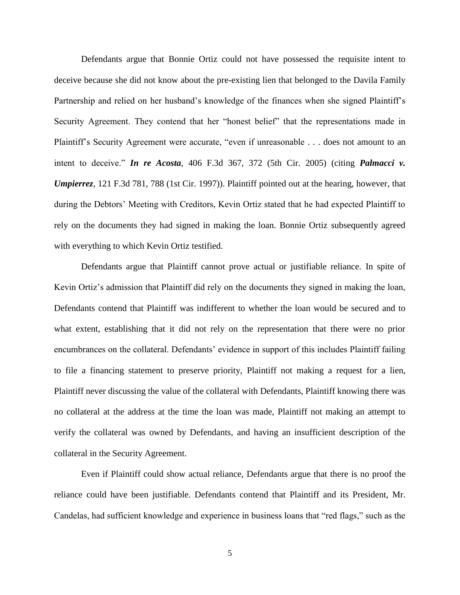Defendants argue that Bonnie Ortiz could not have possessed the requisite intent to deceive because she did not know about the pre-existing lien that belonged to the Davila Family Partnership and relied on her husband's knowledge of the finances when she signed Plaintiff's Security Agreement. They contend that her "honest belief" that the representations made in Plaintiff's Security Agreement were accurate, "even if unreasonable . . . does not amount to an intent to deceive." *In re Acosta*, 406 F.3d 367, 372 (5th Cir. 2005) (citing *Palmacci v. Umpierrez*, 121 F.3d 781, 788 (1st Cir. 1997)). Plaintiff pointed out at the hearing, however, that during the Debtors' Meeting with Creditors, Kevin Ortiz stated that he had expected Plaintiff to rely on the documents they had signed in making the loan. Bonnie Ortiz subsequently agreed with everything to which Kevin Ortiz testified.

Defendants argue that Plaintiff cannot prove actual or justifiable reliance. In spite of Kevin Ortiz's admission that Plaintiff did rely on the documents they signed in making the loan, Defendants contend that Plaintiff was indifferent to whether the loan would be secured and to what extent, establishing that it did not rely on the representation that there were no prior encumbrances on the collateral. Defendants' evidence in support of this includes Plaintiff failing to file a financing statement to preserve priority, Plaintiff not making a request for a lien, Plaintiff never discussing the value of the collateral with Defendants, Plaintiff knowing there was no collateral at the address at the time the loan was made, Plaintiff not making an attempt to verify the collateral was owned by Defendants, and having an insufficient description of the collateral in the Security Agreement.

Even if Plaintiff could show actual reliance, Defendants argue that there is no proof the reliance could have been justifiable. Defendants contend that Plaintiff and its President, Mr. Candelas, had sufficient knowledge and experience in business loans that "red flags," such as the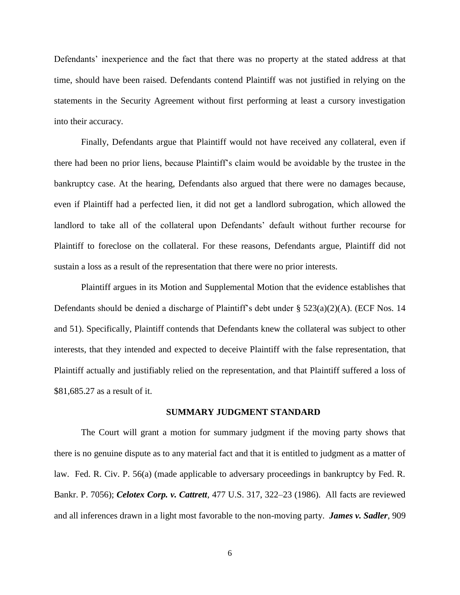Defendants' inexperience and the fact that there was no property at the stated address at that time, should have been raised. Defendants contend Plaintiff was not justified in relying on the statements in the Security Agreement without first performing at least a cursory investigation into their accuracy.

Finally, Defendants argue that Plaintiff would not have received any collateral, even if there had been no prior liens, because Plaintiff's claim would be avoidable by the trustee in the bankruptcy case. At the hearing, Defendants also argued that there were no damages because, even if Plaintiff had a perfected lien, it did not get a landlord subrogation, which allowed the landlord to take all of the collateral upon Defendants' default without further recourse for Plaintiff to foreclose on the collateral. For these reasons, Defendants argue, Plaintiff did not sustain a loss as a result of the representation that there were no prior interests.

Plaintiff argues in its Motion and Supplemental Motion that the evidence establishes that Defendants should be denied a discharge of Plaintiff's debt under § 523(a)(2)(A). (ECF Nos. 14 and 51). Specifically, Plaintiff contends that Defendants knew the collateral was subject to other interests, that they intended and expected to deceive Plaintiff with the false representation, that Plaintiff actually and justifiably relied on the representation, and that Plaintiff suffered a loss of \$81,685.27 as a result of it.

#### **SUMMARY JUDGMENT STANDARD**

The Court will grant a motion for summary judgment if the moving party shows that there is no genuine dispute as to any material fact and that it is entitled to judgment as a matter of law. Fed. R. Civ. P. 56(a) (made applicable to adversary proceedings in bankruptcy by Fed. R. Bankr. P. 7056); *Celotex Corp. v. Cattrett*, 477 U.S. 317, 322–23 (1986). All facts are reviewed and all inferences drawn in a light most favorable to the non-moving party. *James v. Sadler*, 909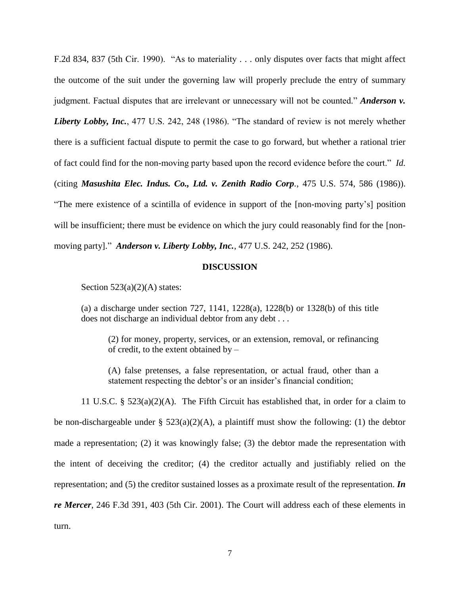F.2d 834, 837 (5th Cir. 1990). "As to materiality . . . only disputes over facts that might affect the outcome of the suit under the governing law will properly preclude the entry of summary judgment. Factual disputes that are irrelevant or unnecessary will not be counted." *Anderson v. Liberty Lobby, Inc.*, 477 U.S. 242, 248 (1986). "The standard of review is not merely whether there is a sufficient factual dispute to permit the case to go forward, but whether a rational trier of fact could find for the non-moving party based upon the record evidence before the court." *Id.* (citing *Masushita Elec. Indus. Co., Ltd. v. Zenith Radio Corp.*, 475 U.S. 574, 586 (1986)). "The mere existence of a scintilla of evidence in support of the [non-moving party's] position will be insufficient; there must be evidence on which the jury could reasonably find for the [nonmoving party]." *Anderson v. Liberty Lobby, Inc.*, 477 U.S. 242, 252 (1986).

#### **DISCUSSION**

Section  $523(a)(2)(A)$  states:

(a) a discharge under section 727, 1141, 1228(a), 1228(b) or 1328(b) of this title does not discharge an individual debtor from any debt . . .

(2) for money, property, services, or an extension, removal, or refinancing of credit, to the extent obtained by –

(A) false pretenses, a false representation, or actual fraud, other than a statement respecting the debtor's or an insider's financial condition;

11 U.S.C. § 523(a)(2)(A). The Fifth Circuit has established that, in order for a claim to be non-dischargeable under §  $523(a)(2)(A)$ , a plaintiff must show the following: (1) the debtor made a representation; (2) it was knowingly false; (3) the debtor made the representation with the intent of deceiving the creditor; (4) the creditor actually and justifiably relied on the representation; and (5) the creditor sustained losses as a proximate result of the representation. *In re Mercer*, 246 F.3d 391, 403 (5th Cir. 2001). The Court will address each of these elements in turn.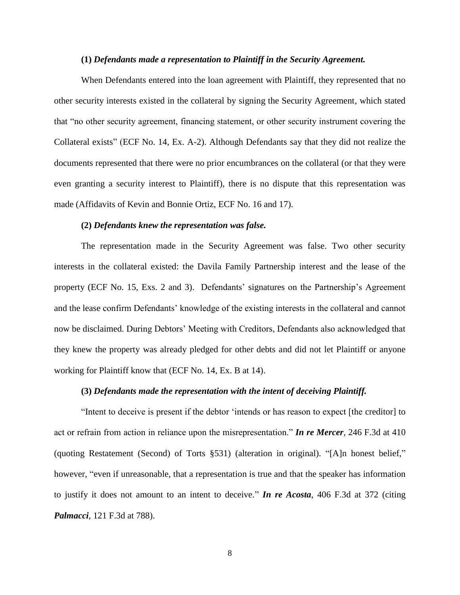#### **(1)** *Defendants made a representation to Plaintiff in the Security Agreement.*

When Defendants entered into the loan agreement with Plaintiff, they represented that no other security interests existed in the collateral by signing the Security Agreement, which stated that "no other security agreement, financing statement, or other security instrument covering the Collateral exists" (ECF No. 14, Ex. A-2). Although Defendants say that they did not realize the documents represented that there were no prior encumbrances on the collateral (or that they were even granting a security interest to Plaintiff), there is no dispute that this representation was made (Affidavits of Kevin and Bonnie Ortiz, ECF No. 16 and 17).

### **(2)** *Defendants knew the representation was false.*

The representation made in the Security Agreement was false. Two other security interests in the collateral existed: the Davila Family Partnership interest and the lease of the property (ECF No. 15, Exs. 2 and 3). Defendants' signatures on the Partnership's Agreement and the lease confirm Defendants' knowledge of the existing interests in the collateral and cannot now be disclaimed. During Debtors' Meeting with Creditors, Defendants also acknowledged that they knew the property was already pledged for other debts and did not let Plaintiff or anyone working for Plaintiff know that (ECF No. 14, Ex. B at 14).

## **(3)** *Defendants made the representation with the intent of deceiving Plaintiff.*

"Intent to deceive is present if the debtor 'intends or has reason to expect [the creditor] to act or refrain from action in reliance upon the misrepresentation." *In re Mercer*, 246 F.3d at 410 (quoting Restatement (Second) of Torts §531) (alteration in original). "[A]n honest belief," however, "even if unreasonable, that a representation is true and that the speaker has information to justify it does not amount to an intent to deceive." *In re Acosta*, 406 F.3d at 372 (citing *Palmacci*, 121 F.3d at 788).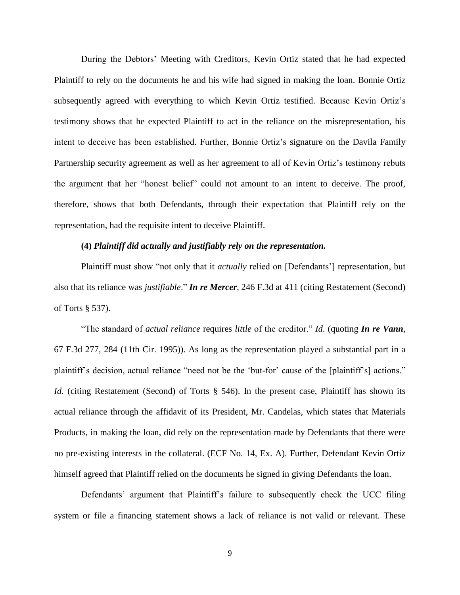During the Debtors' Meeting with Creditors, Kevin Ortiz stated that he had expected Plaintiff to rely on the documents he and his wife had signed in making the loan. Bonnie Ortiz subsequently agreed with everything to which Kevin Ortiz testified. Because Kevin Ortiz's testimony shows that he expected Plaintiff to act in the reliance on the misrepresentation, his intent to deceive has been established. Further, Bonnie Ortiz's signature on the Davila Family Partnership security agreement as well as her agreement to all of Kevin Ortiz's testimony rebuts the argument that her "honest belief" could not amount to an intent to deceive. The proof, therefore, shows that both Defendants, through their expectation that Plaintiff rely on the representation, had the requisite intent to deceive Plaintiff.

## **(4)** *Plaintiff did actually and justifiably rely on the representation.*

Plaintiff must show "not only that it *actually* relied on [Defendants'] representation, but also that its reliance was *justifiable*." *In re Mercer*, 246 F.3d at 411 (citing Restatement (Second) of Torts § 537).

"The standard of *actual reliance* requires *little* of the creditor." *Id*. (quoting *In re Vann*, 67 F.3d 277, 284 (11th Cir. 1995)). As long as the representation played a substantial part in a plaintiff's decision, actual reliance "need not be the 'but-for' cause of the [plaintiff's] actions." *Id.* (citing Restatement (Second) of Torts § 546). In the present case, Plaintiff has shown its actual reliance through the affidavit of its President, Mr. Candelas, which states that Materials Products, in making the loan, did rely on the representation made by Defendants that there were no pre-existing interests in the collateral. (ECF No. 14, Ex. A). Further, Defendant Kevin Ortiz himself agreed that Plaintiff relied on the documents he signed in giving Defendants the loan.

Defendants' argument that Plaintiff's failure to subsequently check the UCC filing system or file a financing statement shows a lack of reliance is not valid or relevant. These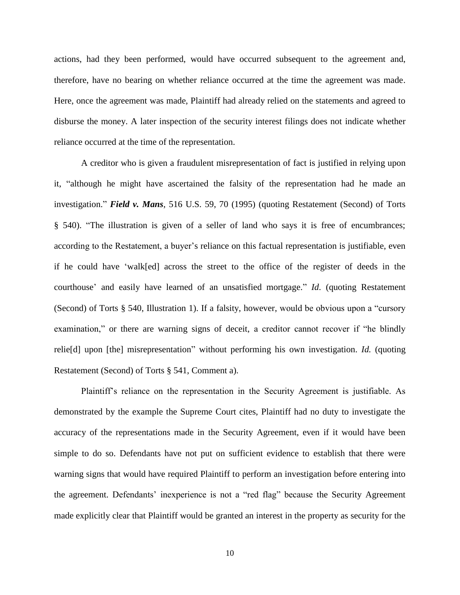actions, had they been performed, would have occurred subsequent to the agreement and, therefore, have no bearing on whether reliance occurred at the time the agreement was made. Here, once the agreement was made, Plaintiff had already relied on the statements and agreed to disburse the money. A later inspection of the security interest filings does not indicate whether reliance occurred at the time of the representation.

A creditor who is given a fraudulent misrepresentation of fact is justified in relying upon it, "although he might have ascertained the falsity of the representation had he made an investigation." *Field v. Mans*, 516 U.S. 59, 70 (1995) (quoting Restatement (Second) of Torts § 540). "The illustration is given of a seller of land who says it is free of encumbrances; according to the Restatement, a buyer's reliance on this factual representation is justifiable, even if he could have 'walk[ed] across the street to the office of the register of deeds in the courthouse' and easily have learned of an unsatisfied mortgage." *Id*. (quoting Restatement (Second) of Torts § 540, Illustration 1). If a falsity, however, would be obvious upon a "cursory examination," or there are warning signs of deceit, a creditor cannot recover if "he blindly relie[d] upon [the] misrepresentation" without performing his own investigation. *Id.* (quoting Restatement (Second) of Torts § 541, Comment a).

Plaintiff's reliance on the representation in the Security Agreement is justifiable. As demonstrated by the example the Supreme Court cites, Plaintiff had no duty to investigate the accuracy of the representations made in the Security Agreement, even if it would have been simple to do so. Defendants have not put on sufficient evidence to establish that there were warning signs that would have required Plaintiff to perform an investigation before entering into the agreement. Defendants' inexperience is not a "red flag" because the Security Agreement made explicitly clear that Plaintiff would be granted an interest in the property as security for the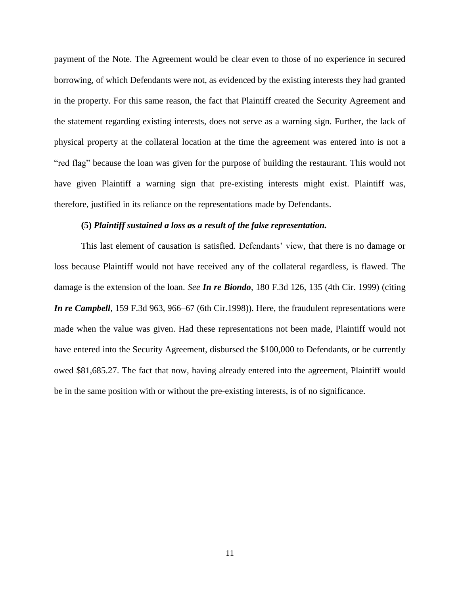payment of the Note. The Agreement would be clear even to those of no experience in secured borrowing, of which Defendants were not, as evidenced by the existing interests they had granted in the property. For this same reason, the fact that Plaintiff created the Security Agreement and the statement regarding existing interests, does not serve as a warning sign. Further, the lack of physical property at the collateral location at the time the agreement was entered into is not a "red flag" because the loan was given for the purpose of building the restaurant. This would not have given Plaintiff a warning sign that pre-existing interests might exist. Plaintiff was, therefore, justified in its reliance on the representations made by Defendants.

#### **(5)** *Plaintiff sustained a loss as a result of the false representation.*

This last element of causation is satisfied. Defendants' view, that there is no damage or loss because Plaintiff would not have received any of the collateral regardless, is flawed. The damage is the extension of the loan. *See In re Biondo*, 180 F.3d 126, 135 (4th Cir. 1999) (citing *In re Campbell,* 159 F.3d 963, 966–67 (6th Cir.1998)). Here, the fraudulent representations were made when the value was given. Had these representations not been made, Plaintiff would not have entered into the Security Agreement, disbursed the \$100,000 to Defendants, or be currently owed \$81,685.27. The fact that now, having already entered into the agreement, Plaintiff would be in the same position with or without the pre-existing interests, is of no significance.